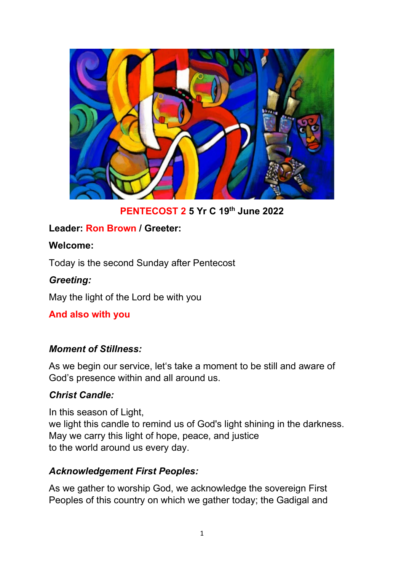

**PENTECOST 2 5 Yr C 19th June 2022** 

# **Leader: Ron Brown / Greeter:**

### **Welcome:**

Today is the second Sunday after Pentecost

## *Greeting:*

May the light of the Lord be with you

## **And also with you**

## *Moment of Stillness:*

As we begin our service, let's take a moment to be still and aware of God's presence within and all around us.

## *Christ Candle:*

In this season of Light, we light this candle to remind us of God's light shining in the darkness. May we carry this light of hope, peace, and justice to the world around us every day.

## *Acknowledgement First Peoples:*

As we gather to worship God, we acknowledge the sovereign First Peoples of this country on which we gather today; the Gadigal and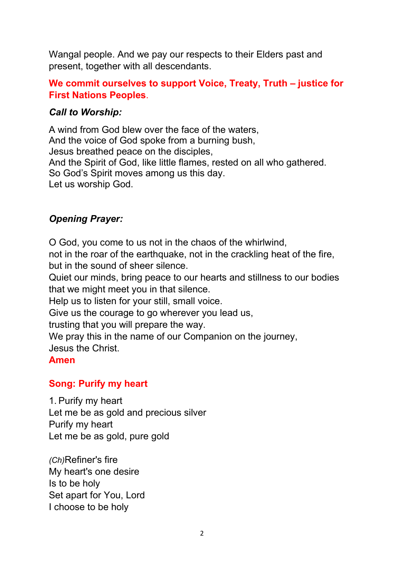Wangal people. And we pay our respects to their Elders past and present, together with all descendants.

## **We commit ourselves to support Voice, Treaty, Truth – justice for First Nations Peoples**.

#### *Call to Worship:*

A wind from God blew over the face of the waters, And the voice of God spoke from a burning bush, Jesus breathed peace on the disciples, And the Spirit of God, like little flames, rested on all who gathered. So God's Spirit moves among us this day. Let us worship God.

### *Opening Prayer:*

O God, you come to us not in the chaos of the whirlwind, not in the roar of the earthquake, not in the crackling heat of the fire, but in the sound of sheer silence.

Quiet our minds, bring peace to our hearts and stillness to our bodies that we might meet you in that silence.

Help us to listen for your still, small voice.

Give us the courage to go wherever you lead us,

trusting that you will prepare the way.

We pray this in the name of our Companion on the journey,

Jesus the Christ.

**Amen**

### **Song: Purify my heart**

1. Purify my heart Let me be as gold and precious silver Purify my heart Let me be as gold, pure gold

*(Ch)*Refiner's fire My heart's one desire Is to be holy Set apart for You, Lord I choose to be holy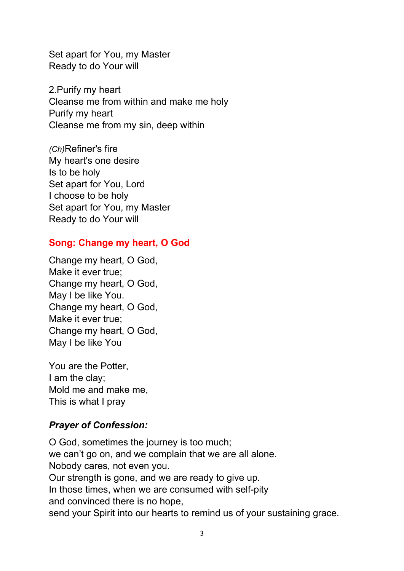Set apart for You, my Master Ready to do Your will

2.Purify my heart Cleanse me from within and make me holy Purify my heart Cleanse me from my sin, deep within

*(Ch)*Refiner's fire My heart's one desire Is to be holy Set apart for You, Lord I choose to be holy Set apart for You, my Master Ready to do Your will

## **Song: Change my heart, O God**

Change my heart, O God, Make it ever true; Change my heart, O God, May I be like You. Change my heart, O God, Make it ever true; Change my heart, O God, May I be like You

You are the Potter, I am the clay; Mold me and make me, This is what I pray

## *Prayer of Confession:*

O God, sometimes the journey is too much; we can't go on, and we complain that we are all alone. Nobody cares, not even you. Our strength is gone, and we are ready to give up. In those times, when we are consumed with self-pity and convinced there is no hope, send your Spirit into our hearts to remind us of your sustaining grace.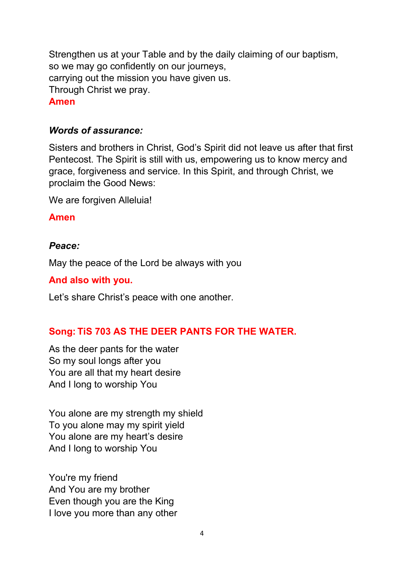Strengthen us at your Table and by the daily claiming of our baptism, so we may go confidently on our journeys, carrying out the mission you have given us. Through Christ we pray. **Amen**

#### *Words of assurance:*

Sisters and brothers in Christ, God's Spirit did not leave us after that first Pentecost. The Spirit is still with us, empowering us to know mercy and grace, forgiveness and service. In this Spirit, and through Christ, we proclaim the Good News:

We are forgiven Alleluia!

#### **Amen**

#### *Peace:*

May the peace of the Lord be always with you

#### **And also with you.**

Let's share Christ's peace with one another.

### **Song: TiS 703 AS THE DEER PANTS FOR THE WATER.**

As the deer pants for the water So my soul longs after you You are all that my heart desire And I long to worship You

You alone are my strength my shield To you alone may my spirit yield You alone are my heart's desire And I long to worship You

You're my friend And You are my brother Even though you are the King I love you more than any other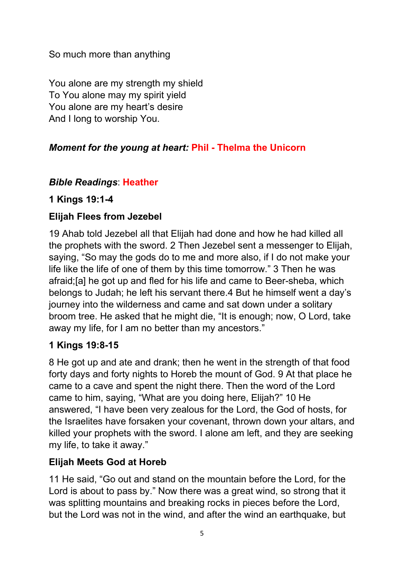So much more than anything

You alone are my strength my shield To You alone may my spirit yield You alone are my heart's desire And I long to worship You.

# *Moment for the young at heart:* **Phil - Thelma the Unicorn**

# *Bible Readings*: **Heather**

## **1 Kings 19:1-4**

# **Elijah Flees from Jezebel**

19 Ahab told Jezebel all that Elijah had done and how he had killed all the prophets with the sword. 2 Then Jezebel sent a messenger to Elijah, saying, "So may the gods do to me and more also, if I do not make your life like the life of one of them by this time tomorrow." 3 Then he was afraid;[a] he got up and fled for his life and came to Beer-sheba, which belongs to Judah; he left his servant there.4 But he himself went a day's journey into the wilderness and came and sat down under a solitary broom tree. He asked that he might die, "It is enough; now, O Lord, take away my life, for I am no better than my ancestors."

## **1 Kings 19:8-15**

8 He got up and ate and drank; then he went in the strength of that food forty days and forty nights to Horeb the mount of God. 9 At that place he came to a cave and spent the night there. Then the word of the Lord came to him, saying, "What are you doing here, Elijah?" 10 He answered, "I have been very zealous for the Lord, the God of hosts, for the Israelites have forsaken your covenant, thrown down your altars, and killed your prophets with the sword. I alone am left, and they are seeking my life, to take it away."

# **Elijah Meets God at Horeb**

11 He said, "Go out and stand on the mountain before the Lord, for the Lord is about to pass by." Now there was a great wind, so strong that it was splitting mountains and breaking rocks in pieces before the Lord, but the Lord was not in the wind, and after the wind an earthquake, but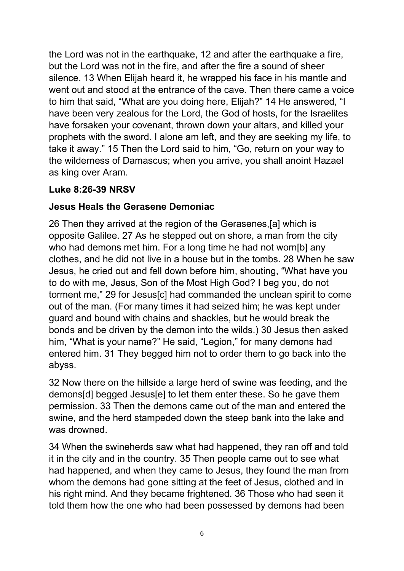the Lord was not in the earthquake, 12 and after the earthquake a fire, but the Lord was not in the fire, and after the fire a sound of sheer silence. 13 When Elijah heard it, he wrapped his face in his mantle and went out and stood at the entrance of the cave. Then there came a voice to him that said, "What are you doing here, Elijah?" 14 He answered, "I have been very zealous for the Lord, the God of hosts, for the Israelites have forsaken your covenant, thrown down your altars, and killed your prophets with the sword. I alone am left, and they are seeking my life, to take it away." 15 Then the Lord said to him, "Go, return on your way to the wilderness of Damascus; when you arrive, you shall anoint Hazael as king over Aram.

### **Luke 8:26-39 NRSV**

## **Jesus Heals the Gerasene Demoniac**

26 Then they arrived at the region of the Gerasenes,[a] which is opposite Galilee. 27 As he stepped out on shore, a man from the city who had demons met him. For a long time he had not worn[b] any clothes, and he did not live in a house but in the tombs. 28 When he saw Jesus, he cried out and fell down before him, shouting, "What have you to do with me, Jesus, Son of the Most High God? I beg you, do not torment me," 29 for Jesus[c] had commanded the unclean spirit to come out of the man. (For many times it had seized him; he was kept under guard and bound with chains and shackles, but he would break the bonds and be driven by the demon into the wilds.) 30 Jesus then asked him, "What is your name?" He said, "Legion," for many demons had entered him. 31 They begged him not to order them to go back into the abyss.

32 Now there on the hillside a large herd of swine was feeding, and the demons[d] begged Jesus[e] to let them enter these. So he gave them permission. 33 Then the demons came out of the man and entered the swine, and the herd stampeded down the steep bank into the lake and was drowned

34 When the swineherds saw what had happened, they ran off and told it in the city and in the country. 35 Then people came out to see what had happened, and when they came to Jesus, they found the man from whom the demons had gone sitting at the feet of Jesus, clothed and in his right mind. And they became frightened. 36 Those who had seen it told them how the one who had been possessed by demons had been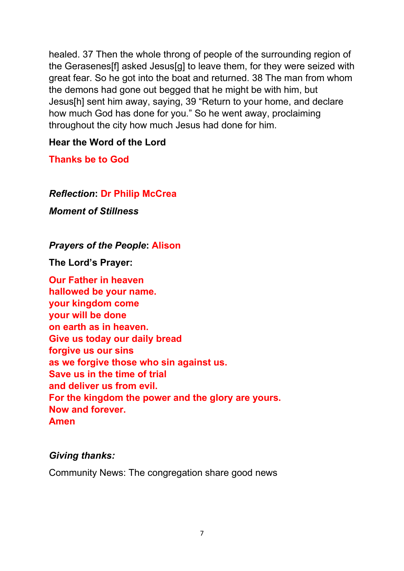healed. 37 Then the whole throng of people of the surrounding region of the Gerasenes[f] asked Jesus[g] to leave them, for they were seized with great fear. So he got into the boat and returned. 38 The man from whom the demons had gone out begged that he might be with him, but Jesus[h] sent him away, saying, 39 "Return to your home, and declare how much God has done for you." So he went away, proclaiming throughout the city how much Jesus had done for him.

### **Hear the Word of the Lord**

**Thanks be to God**

## *Reflection***: Dr Philip McCrea**

*Moment of Stillness*

### *Prayers of the People***: Alison**

**The Lord's Prayer:**

**Our Father in heaven hallowed be your name. your kingdom come your will be done on earth as in heaven. Give us today our daily bread forgive us our sins as we forgive those who sin against us. Save us in the time of trial and deliver us from evil. For the kingdom the power and the glory are yours. Now and forever. Amen**

## *Giving thanks:*

Community News: The congregation share good news